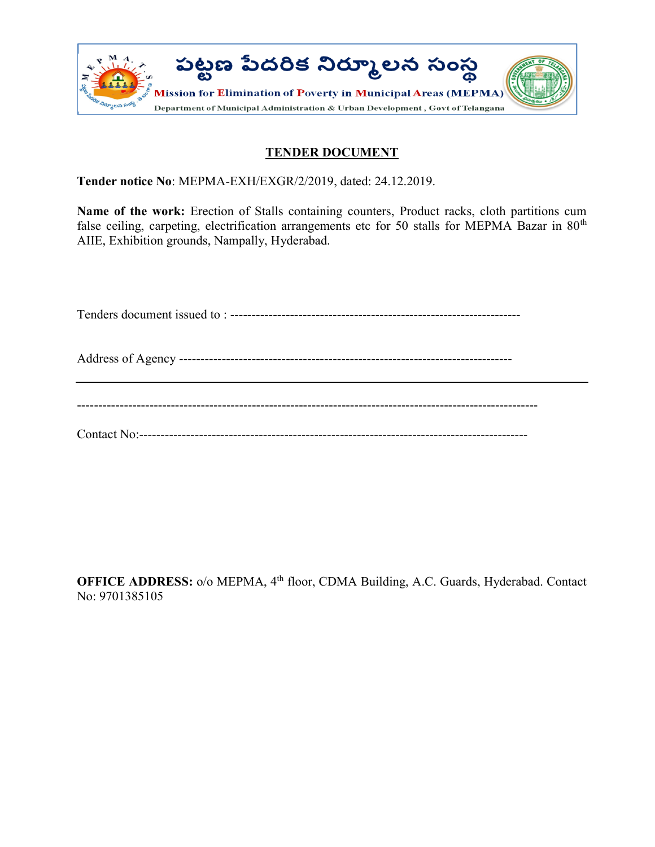

## TENDER DOCUMENT

Tender notice No: MEPMA-EXH/EXGR/2/2019, dated: 24.12.2019.

Name of the work: Erection of Stalls containing counters, Product racks, cloth partitions cum false ceiling, carpeting, electrification arrangements etc for 50 stalls for MEPMA Bazar in  $80<sup>th</sup>$ AIIE, Exhibition grounds, Nampally, Hyderabad.

Tenders document issued to : --------------------------------------------------------------------

Address of Agency ------------------------------------------------------------------------------

------------------------------------------------------------------------------------------------------------

Contact No:-------------------------------------------------------------------------------------------

OFFICE ADDRESS: o/o MEPMA, 4<sup>th</sup> floor, CDMA Building, A.C. Guards, Hyderabad. Contact No: 9701385105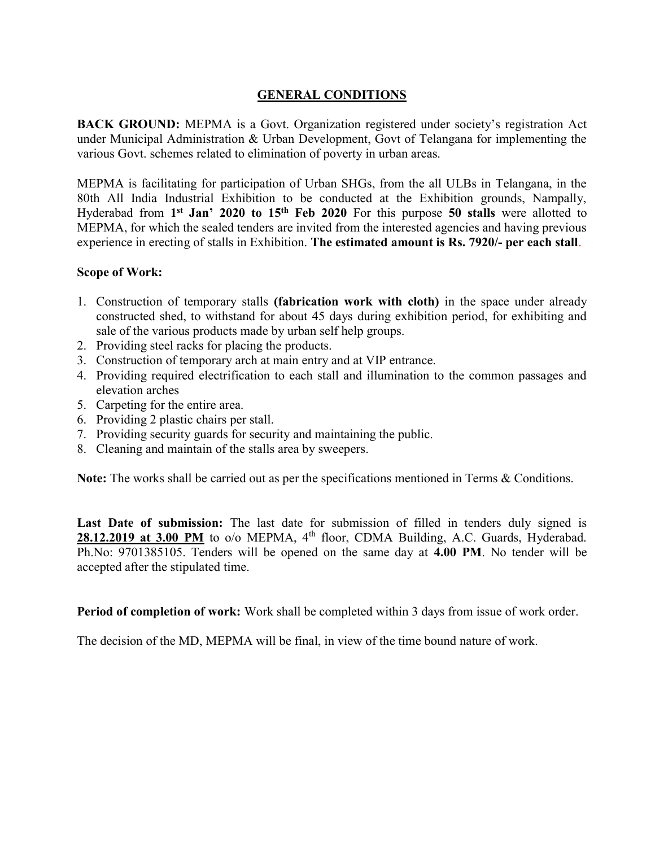### GENERAL CONDITIONS

BACK GROUND: MEPMA is a Govt. Organization registered under society's registration Act under Municipal Administration & Urban Development, Govt of Telangana for implementing the various Govt. schemes related to elimination of poverty in urban areas.

MEPMA is facilitating for participation of Urban SHGs, from the all ULBs in Telangana, in the 80th All India Industrial Exhibition to be conducted at the Exhibition grounds, Nampally, Hyderabad from  $1<sup>st</sup>$  Jan' 2020 to  $15<sup>th</sup>$  Feb 2020 For this purpose 50 stalls were allotted to MEPMA, for which the sealed tenders are invited from the interested agencies and having previous experience in erecting of stalls in Exhibition. The estimated amount is Rs. 7920/- per each stall.

#### Scope of Work:

- 1. Construction of temporary stalls (fabrication work with cloth) in the space under already constructed shed, to withstand for about 45 days during exhibition period, for exhibiting and sale of the various products made by urban self help groups.
- 2. Providing steel racks for placing the products.
- 3. Construction of temporary arch at main entry and at VIP entrance.
- 4. Providing required electrification to each stall and illumination to the common passages and elevation arches
- 5. Carpeting for the entire area.
- 6. Providing 2 plastic chairs per stall.
- 7. Providing security guards for security and maintaining the public.
- 8. Cleaning and maintain of the stalls area by sweepers.

Note: The works shall be carried out as per the specifications mentioned in Terms & Conditions.

Last Date of submission: The last date for submission of filled in tenders duly signed is 28.12.2019 at 3.00 PM to o/o MEPMA, 4<sup>th</sup> floor, CDMA Building, A.C. Guards, Hyderabad. Ph.No: 9701385105. Tenders will be opened on the same day at 4.00 PM. No tender will be accepted after the stipulated time.

Period of completion of work: Work shall be completed within 3 days from issue of work order.

The decision of the MD, MEPMA will be final, in view of the time bound nature of work.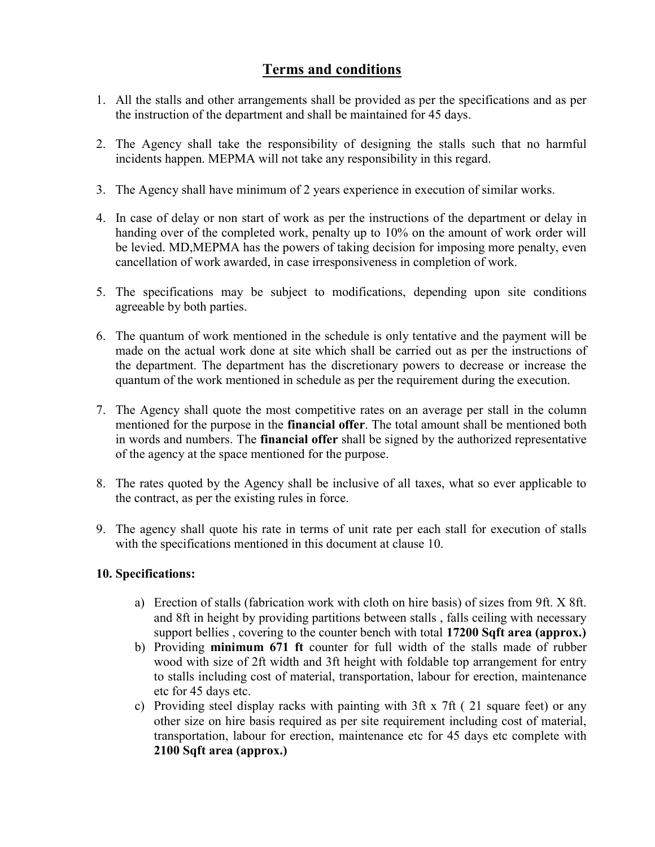# Terms and conditions

- 1. All the stalls and other arrangements shall be provided as per the specifications and as per the instruction of the department and shall be maintained for 45 days.
- 2. The Agency shall take the responsibility of designing the stalls such that no harmful incidents happen. MEPMA will not take any responsibility in this regard.
- 3. The Agency shall have minimum of 2 years experience in execution of similar works.
- 4. In case of delay or non start of work as per the instructions of the department or delay in handing over of the completed work, penalty up to 10% on the amount of work order will be levied. MD,MEPMA has the powers of taking decision for imposing more penalty, even cancellation of work awarded, in case irresponsiveness in completion of work.
- 5. The specifications may be subject to modifications, depending upon site conditions agreeable by both parties.
- 6. The quantum of work mentioned in the schedule is only tentative and the payment will be made on the actual work done at site which shall be carried out as per the instructions of the department. The department has the discretionary powers to decrease or increase the quantum of the work mentioned in schedule as per the requirement during the execution.
- 7. The Agency shall quote the most competitive rates on an average per stall in the column mentioned for the purpose in the **financial offer**. The total amount shall be mentioned both in words and numbers. The financial offer shall be signed by the authorized representative of the agency at the space mentioned for the purpose.
- 8. The rates quoted by the Agency shall be inclusive of all taxes, what so ever applicable to the contract, as per the existing rules in force.
- 9. The agency shall quote his rate in terms of unit rate per each stall for execution of stalls with the specifications mentioned in this document at clause 10.

### 10. Specifications:

- a) Erection of stalls (fabrication work with cloth on hire basis) of sizes from 9ft. X 8ft. and 8ft in height by providing partitions between stalls , falls ceiling with necessary support bellies, covering to the counter bench with total 17200 Sqft area (approx.)
- b) Providing minimum 671 ft counter for full width of the stalls made of rubber wood with size of 2ft width and 3ft height with foldable top arrangement for entry to stalls including cost of material, transportation, labour for erection, maintenance etc for 45 days etc.
- c) Providing steel display racks with painting with 3ft x 7ft ( 21 square feet) or any other size on hire basis required as per site requirement including cost of material, transportation, labour for erection, maintenance etc for 45 days etc complete with 2100 Sqft area (approx.)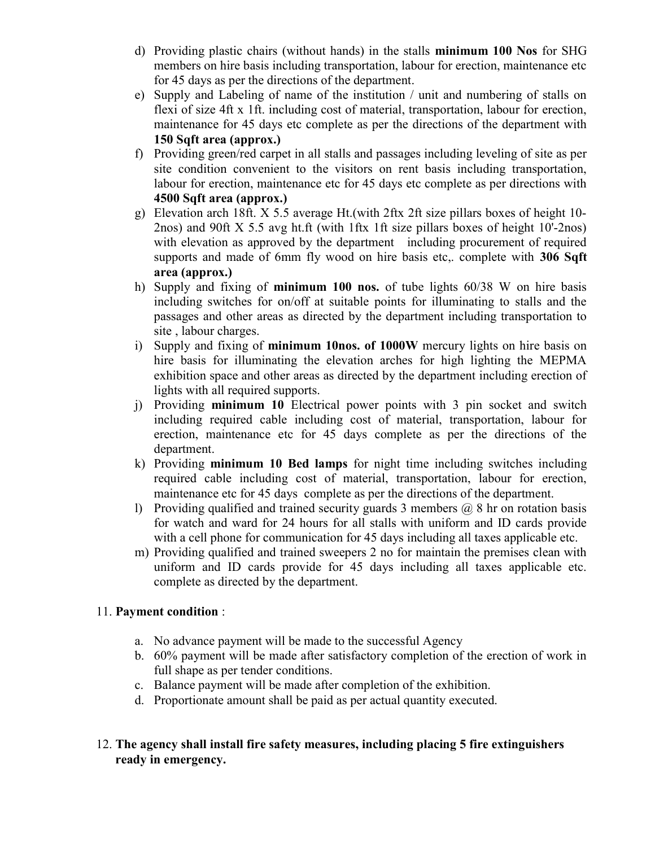- d) Providing plastic chairs (without hands) in the stalls minimum 100 Nos for SHG members on hire basis including transportation, labour for erection, maintenance etc for 45 days as per the directions of the department.
- e) Supply and Labeling of name of the institution / unit and numbering of stalls on flexi of size 4ft x 1ft. including cost of material, transportation, labour for erection, maintenance for 45 days etc complete as per the directions of the department with 150 Sqft area (approx.)
- f) Providing green/red carpet in all stalls and passages including leveling of site as per site condition convenient to the visitors on rent basis including transportation, labour for erection, maintenance etc for 45 days etc complete as per directions with 4500 Sqft area (approx.)
- g) Elevation arch 18ft. X 5.5 average Ht.(with 2ftx 2ft size pillars boxes of height 10- 2nos) and 90ft X 5.5 avg ht.ft (with 1ftx 1ft size pillars boxes of height 10'-2nos) with elevation as approved by the department including procurement of required supports and made of 6mm fly wood on hire basis etc, complete with 306 Sqft area (approx.)
- h) Supply and fixing of minimum 100 nos. of tube lights 60/38 W on hire basis including switches for on/off at suitable points for illuminating to stalls and the passages and other areas as directed by the department including transportation to site , labour charges.
- i) Supply and fixing of minimum 10nos. of 1000W mercury lights on hire basis on hire basis for illuminating the elevation arches for high lighting the MEPMA exhibition space and other areas as directed by the department including erection of lights with all required supports.
- j) Providing minimum 10 Electrical power points with 3 pin socket and switch including required cable including cost of material, transportation, labour for erection, maintenance etc for 45 days complete as per the directions of the department.
- k) Providing minimum 10 Bed lamps for night time including switches including required cable including cost of material, transportation, labour for erection, maintenance etc for 45 days complete as per the directions of the department.
- l) Providing qualified and trained security guards 3 members  $\omega$  8 hr on rotation basis for watch and ward for 24 hours for all stalls with uniform and ID cards provide with a cell phone for communication for 45 days including all taxes applicable etc.
- m) Providing qualified and trained sweepers 2 no for maintain the premises clean with uniform and ID cards provide for 45 days including all taxes applicable etc. complete as directed by the department.

## 11. Payment condition :

- a. No advance payment will be made to the successful Agency
- b. 60% payment will be made after satisfactory completion of the erection of work in full shape as per tender conditions.
- c. Balance payment will be made after completion of the exhibition.
- d. Proportionate amount shall be paid as per actual quantity executed.
- 12. The agency shall install fire safety measures, including placing 5 fire extinguishers ready in emergency.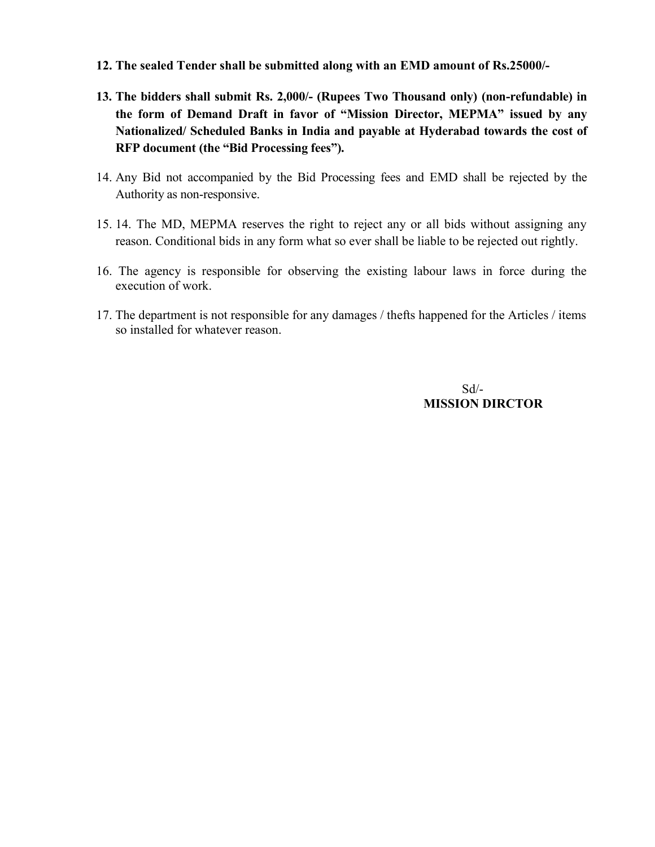- 12. The sealed Tender shall be submitted along with an EMD amount of Rs.25000/-
- 13. The bidders shall submit Rs. 2,000/- (Rupees Two Thousand only) (non-refundable) in the form of Demand Draft in favor of "Mission Director, MEPMA" issued by any Nationalized/ Scheduled Banks in India and payable at Hyderabad towards the cost of RFP document (the "Bid Processing fees").
- 14. Any Bid not accompanied by the Bid Processing fees and EMD shall be rejected by the Authority as non-responsive.
- 15. 14. The MD, MEPMA reserves the right to reject any or all bids without assigning any reason. Conditional bids in any form what so ever shall be liable to be rejected out rightly.
- 16. The agency is responsible for observing the existing labour laws in force during the execution of work.
- 17. The department is not responsible for any damages / thefts happened for the Articles / items so installed for whatever reason.

 Sd/- MISSION DIRCTOR